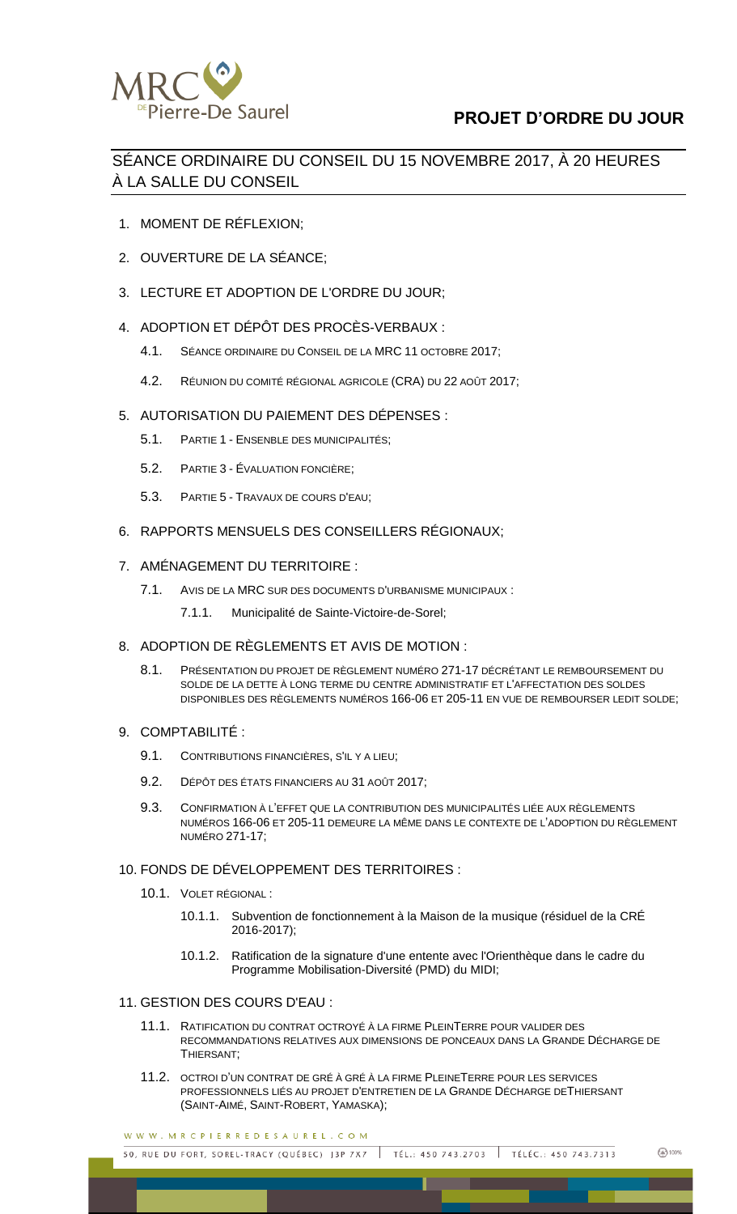

# **PROJET D'ORDRE DU JOUR**

SÉANCE ORDINAIRE DU CONSEIL DU 15 NOVEMBRE 2017, À 20 HEURES À LA SALLE DU CONSEIL

- 1. MOMENT DE RÉFLEXION;
- 2. OUVERTURE DE LA SÉANCE;
- 3. LECTURE ET ADOPTION DE L'ORDRE DU JOUR;
- 4. ADOPTION ET DÉPÔT DES PROCÈS-VERBAUX :
	- 4.1. SÉANCE ORDINAIRE DU CONSEIL DE LA MRC 11 OCTOBRE 2017;
	- 4.2. RÉUNION DU COMITÉ RÉGIONAL AGRICOLE (CRA) DU 22 AOÛT 2017;
- 5. AUTORISATION DU PAIEMENT DES DÉPENSES :
	- 5.1. PARTIE 1 ENSENBLE DES MUNICIPALITÉS;
	- 5.2. PARTIE 3 ÉVALUATION FONCIÈRE;
	- 5.3. PARTIE 5 TRAVAUX DE COURS D'EAU;
- 6. RAPPORTS MENSUELS DES CONSEILLERS RÉGIONAUX;
- 7. AMÉNAGEMENT DU TERRITOIRE :
	- 7.1. AVIS DE LA MRC SUR DES DOCUMENTS D'URBANISME MUNICIPAUX :
		- 7.1.1. Municipalité de Sainte-Victoire-de-Sorel;
- 8. ADOPTION DE RÈGLEMENTS ET AVIS DE MOTION :
	- 8.1. PRÉSENTATION DU PROJET DE RÈGLEMENT NUMÉRO 271-17 DÉCRÉTANT LE REMBOURSEMENT DU SOLDE DE LA DETTE À LONG TERME DU CENTRE ADMINISTRATIF ET L'AFFECTATION DES SOLDES DISPONIBLES DES RÈGLEMENTS NUMÉROS 166-06 ET 205-11 EN VUE DE REMBOURSER LEDIT SOLDE;
- 9. COMPTABILITÉ :
	- 9.1. CONTRIBUTIONS FINANCIÈRES, S'IL Y A LIEU;
	- 9.2. DÉPÔT DES ÉTATS FINANCIERS AU 31 AOÛT 2017;
	- 9.3. CONFIRMATION À L'EFFET QUE LA CONTRIBUTION DES MUNICIPALITÉS LIÉE AUX RÈGLEMENTS NUMÉROS 166-06 ET 205-11 DEMEURE LA MÊME DANS LE CONTEXTE DE L'ADOPTION DU RÈGLEMENT NUMÉRO 271-17;
- 10. FONDS DE DÉVELOPPEMENT DES TERRITOIRES :
	- 10.1. VOLET RÉGIONAL :
		- 10.1.1. Subvention de fonctionnement à la Maison de la musique (résiduel de la CRÉ 2016-2017);
		- 10.1.2. Ratification de la signature d'une entente avec l'Orienthèque dans le cadre du Programme Mobilisation-Diversité (PMD) du MIDI;

#### 11. GESTION DES COURS D'EAU :

- 11.1. RATIFICATION DU CONTRAT OCTROYÉ À LA FIRME PLEINTERRE POUR VALIDER DES RECOMMANDATIONS RELATIVES AUX DIMENSIONS DE PONCEAUX DANS LA GRANDE DÉCHARGE DE THIERSANT;
- 11.2. OCTROI D'UN CONTRAT DE GRÉ À GRÉ À LA FIRME PLEINETERRE POUR LES SERVICES PROFESSIONNELS LIÉS AU PROJET D'ENTRETIEN DE LA GRANDE DÉCHARGE DETHIERSANT (SAINT-AIMÉ, SAINT-ROBERT, YAMASKA);

WWW.MRCPIERREDESAUREL.COM

50, RUE DU FORT, SOREL-TRACY (QUÉBEC) J3P 7X7 TÉL.: 450 743.2703 | TÉLÉC.: 450 743.7313